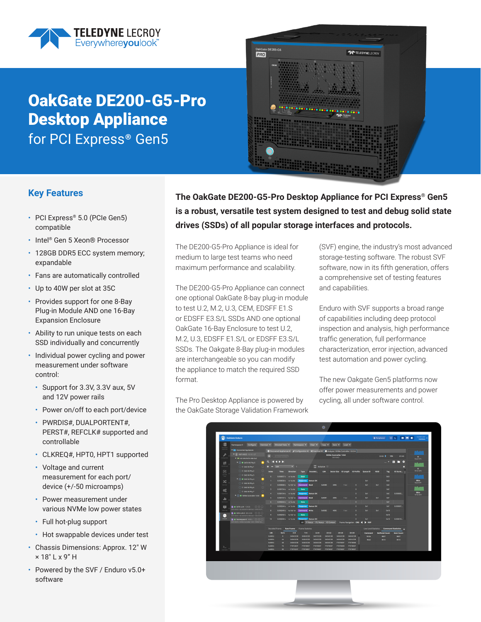

# OakGate DE200-G5-Pro Desktop Appliance for PCI Express<sup>®</sup> Gen5



## **Key Features**

- PCI Express® 5.0 (PCIe Gen5) compatible
- Intel® Gen 5 Xeon® Processor
- 128GB DDR5 ECC system memory; expandable
- Fans are automatically controlled
- Up to 40W per slot at 35C
- Provides support for one 8-Bay Plug-in Module AND one 16-Bay Expansion Enclosure
- Ability to run unique tests on each SSD individually and concurrently
- Individual power cycling and power measurement under software control:
	- Support for 3.3V, 3.3V aux, 5V and 12V power rails
	- Power on/off to each port/device
	- PWRDIS#, DUALPORTENT#, PERST#, REFCLK# supported and controllable
	- CLKREQ#, HPT0, HPT1 supported
	- Voltage and current measurement for each port/ device (+/-50 microamps)
	- Power measurement under various NVMe low power states
	- Full hot-plug support
	- Hot swappable devices under test
- Chassis Dimensions: Approx. 12" W × 18" L x 9" H
- Powered by the SVF / Enduro v5.0+ software

**The OakGate DE200-G5-Pro Desktop Appliance for PCI Express® Gen5 is a robust, versatile test system designed to test and debug solid state drives (SSDs) of all popular storage interfaces and protocols.**

The DE200-G5-Pro Appliance is ideal for medium to large test teams who need maximum performance and scalability.

The DE200-G5-Pro Appliance can connect one optional OakGate 8-bay plug-in module to test U.2, M.2, U.3, CEM, EDSFF E1.S or EDSFF E3.S/L SSDs AND one optional OakGate 16-Bay Enclosure to test U.2, M.2, U.3, EDSFF E1.S/L or EDSFF E3.S/L SSDs. The Oakgate 8-Bay plug-in modules are interchangeable so you can modify the appliance to match the required SSD format.

The Pro Desktop Appliance is powered by the OakGate Storage Validation Framework (SVF) engine, the industry's most advanced storage-testing software. The robust SVF software, now in its fifth generation, offers a comprehensive set of testing features and capabilities.

Enduro with SVF supports a broad range of capabilities including deep protocol inspection and analysis, high performance traffic generation, full performance characterization, error injection, advanced test automation and power cycling.

The new Oakgate Gen5 platforms now offer power measurements and power cycling, all under software control.